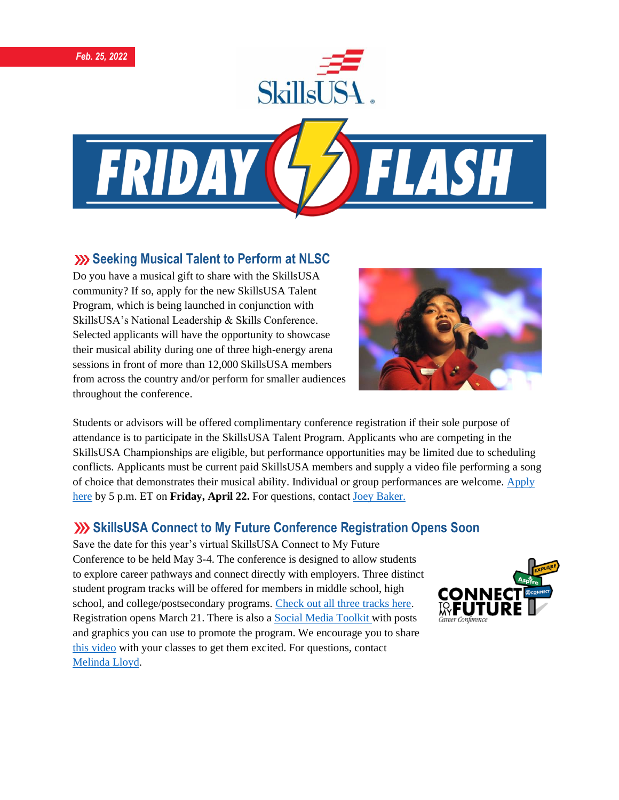





#### **Seeking Musical Talent to Perform at NLSC**

Do you have a musical gift to share with the SkillsUSA community? If so, apply for the new SkillsUSA Talent Program, which is being launched in conjunction with SkillsUSA's National Leadership & Skills Conference. Selected applicants will have the opportunity to showcase their musical ability during one of three high-energy arena sessions in front of more than 12,000 SkillsUSA members from across the country and/or perform for smaller audiences throughout the conference.



Students or advisors will be offered complimentary conference registration if their sole purpose of attendance is to participate in the SkillsUSA Talent Program. Applicants who are competing in the SkillsUSA Championships are eligible, but performance opportunities may be limited due to scheduling conflicts. Applicants must be current paid SkillsUSA members and supply a video file performing a song of choice that demonstrates their musical ability. Individual or group performances are welcome. [Apply](https://skillsusa.wufoo.com/forms/r3mvb5155fzzs/)  [here](https://skillsusa.wufoo.com/forms/r3mvb5155fzzs/) by 5 p.m. ET on **Friday, April 22.** For questions, contact [Joey Baker.](mailto:jbaker@skillsusa.org)

### **SkillsUSA Connect to My Future Conference Registration Opens Soon**

Save the date for this year's virtual SkillsUSA Connect to My Future Conference to be held May 3-4. The conference is designed to allow students to explore career pathways and connect directly with employers. Three distinct student program tracks will be offered for members in middle school, high school, and college/postsecondary programs. [Check out all three tracks here.](https://www.skillsusa.org/events-training/skillsusa-connect-to-my-future-conference/) Registration opens March 21. There is also a [Social Media Toolkit w](https://skillsusa.egnyte.com/dl/z1GXon2nWj)ith posts and graphics you can use to promote the program. We encourage you to share [this video](https://www.youtube.com/watch?v=oVDAfF486S0) with your classes to get them excited. For questions, contact [Melinda Lloyd.](mailto:mlloyd@skillsusa.org)

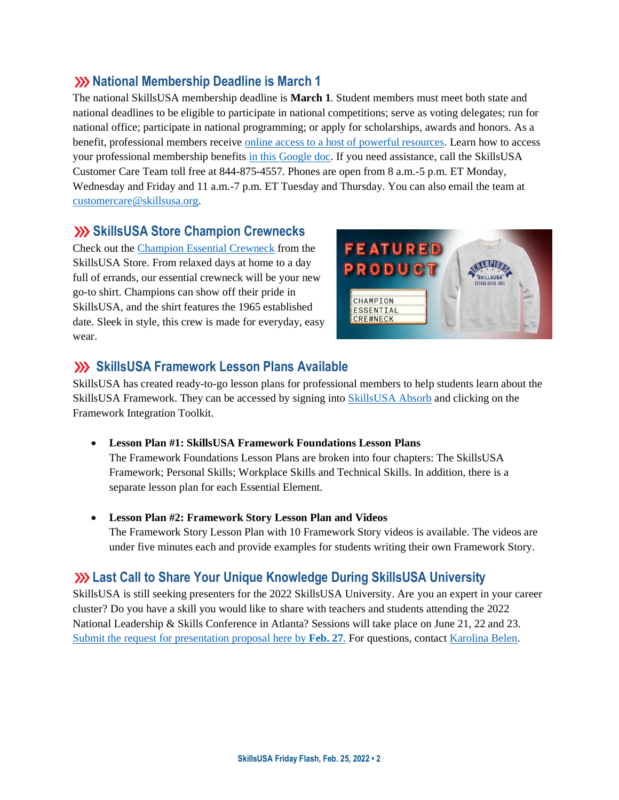#### **XX National Membership Deadline is March 1**

The national SkillsUSA membership deadline is **March 1**. Student members must meet both state and national deadlines to be eligible to participate in national competitions; serve as voting delegates; run for national office; participate in national programming; or apply for scholarships, awards and honors. As a benefit, professional members receive [online access to a host of powerful resources.](https://www.skillsusa.org/accordions/benefits-of-membership/) Learn how to access your professional membership benefits [in this Google doc.](https://docs.google.com/document/d/1d2EvwsmdelNzm-WK7pTGSokJTbWZXcFDOODai32SGzk/edit) If you need assistance, call the SkillsUSA Customer Care Team toll free at 844-875-4557. Phones are open from 8 a.m.-5 p.m. ET Monday, Wednesday and Friday and 11 a.m.-7 p.m. ET Tuesday and Thursday. You can also email the team at [customercare@skillsusa.org.](mailto:customercare@skillsusa.org)

#### **SkillsUSA Store Champion Crewnecks**

Check out the [Champion Essential Crewneck](https://skillsusastore.mybrightsites.com/products/reclaimlongshirt_copy1_copy1) from the SkillsUSA Store. From relaxed days at home to a day full of errands, our essential crewneck will be your new go-to shirt. Champions can show off their pride in SkillsUSA, and the shirt features the 1965 established date. Sleek in style, this crew is made for everyday, easy wear.



#### **SkillsUSA Framework Lesson Plans Available**

SkillsUSA has created ready-to-go lesson plans for professional members to help students learn about the SkillsUSA Framework. They can be accessed by signing into [SkillsUSA Absorb](https://absorb.skillsusa.org/) and clicking on the Framework Integration Toolkit.

• **Lesson Plan #1: SkillsUSA Framework Foundations Lesson Plans** 

The Framework Foundations Lesson Plans are broken into four chapters: The SkillsUSA Framework; Personal Skills; Workplace Skills and Technical Skills. In addition, there is a separate lesson plan for each Essential Element.

• **Lesson Plan #2: Framework Story Lesson Plan and Videos** 

The Framework Story Lesson Plan with 10 Framework Story videos is available. The videos are under five minutes each and provide examples for students writing their own Framework Story.

### **Last Call to Share Your Unique Knowledge During SkillsUSA University**

SkillsUSA is still seeking presenters for the 2022 SkillsUSA University. Are you an expert in your career cluster? Do you have a skill you would like to share with teachers and students attending the 2022 National Leadership & Skills Conference in Atlanta? Sessions will take place on June 21, 22 and 23. [Submit the request for presentation proposal here by](https://docs.google.com/forms/d/e/1FAIpQLSdAZNVdpwIoexVeA84Wenhjh0g0_3Km2r7RtNXo6B02Btl1DQ/viewform) **Feb. 27**. For questions, contac[t Karolina Belen.](mailto:kbelen@skillsusa.org)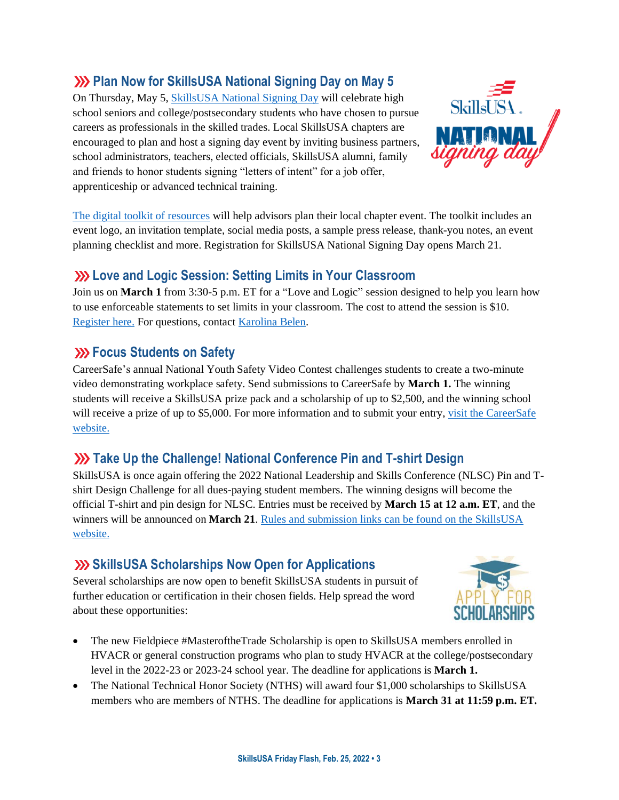# **We Plan Now for SkillsUSA National Signing Day on May 5**

On Thursday, May 5, [SkillsUSA National Signing Day](https://www.skillsusa.org/events-training/national-signing-day/) will celebrate high school seniors and college/postsecondary students who have chosen to pursue careers as professionals in the skilled trades. Local SkillsUSA chapters are encouraged to plan and host a signing day event by inviting business partners, school administrators, teachers, elected officials, SkillsUSA alumni, family and friends to honor students signing "letters of intent" for a job offer, apprenticeship or advanced technical training.



[The digital toolkit of resources](https://www.skillsusa.org/events-training/national-signing-day/) will help advisors plan their local chapter event. The toolkit includes an event logo, an invitation template, social media posts, a sample press release, thank-you notes, an event planning checklist and more. Registration for SkillsUSA National Signing Day opens March 21.

## **Love and Logic Session: Setting Limits in Your Classroom**

Join us on **March 1** from 3:30-5 p.m. ET for a "Love and Logic" session designed to help you learn how to use enforceable statements to set limits in your classroom. The cost to attend the session is \$10. [Register here.](https://skillsusa.wufoo.com/forms/love-and-logic-and-technical-fridays-registration) For questions, contact [Karolina Belen.](mailto:kbelen@skillsusa.org)

### **EXAMPLE Students on Safety**

CareerSafe's annual National Youth Safety Video Contest challenges students to create a two-minute video demonstrating workplace safety. Send submissions to CareerSafe by **March 1.** The winning students will receive a SkillsUSA prize pack and a scholarship of up to \$2,500, and the winning school will receive a prize of up to \$5,000. For more information and to submit your entry, visit the CareerSafe [website.](https://www.careersafeonline.com/scholarships/video-contest)

# **XX** Take Up the Challenge! National Conference Pin and T-shirt Design

SkillsUSA is once again offering the 2022 National Leadership and Skills Conference (NLSC) Pin and Tshirt Design Challenge for all dues-paying student members. The winning designs will become the official T-shirt and pin design for NLSC. Entries must be received by **March 15 at 12 a.m. ET**, and the winners will be announced on **March 21**[. Rules and submission links can be found on the SkillsUSA](https://www.skillsusa.org/competitions/pin-design-challenge/)  [website.](https://www.skillsusa.org/competitions/pin-design-challenge/)

# **SkillsUSA Scholarships Now Open for Applications**

Several scholarships are now open to benefit SkillsUSA students in pursuit of further education or certification in their chosen fields. Help spread the word about these opportunities:



- The new Fieldpiece #MasteroftheTrade Scholarship is open to SkillsUSA members enrolled in HVACR or general construction programs who plan to study HVACR at the college/postsecondary level in the 2022-23 or 2023-24 school year. The deadline for applications is **March 1.**
- The National Technical Honor Society (NTHS) will award four \$1,000 scholarships to SkillsUSA members who are members of NTHS. The deadline for applications is **March 31 at 11:59 p.m. ET.**